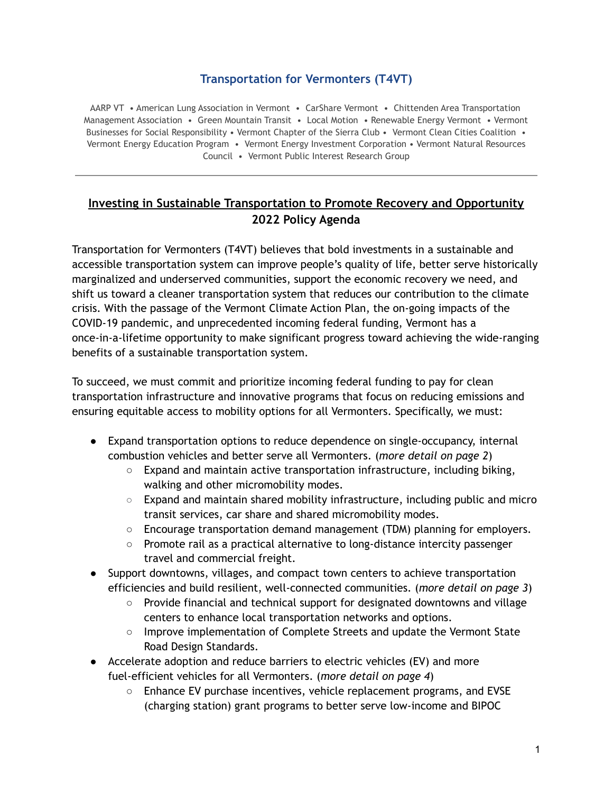# **Transportation for Vermonters (T4VT)**

AARP VT • American Lung Association in Vermont • CarShare Vermont • Chittenden Area Transportation Management Association • Green Mountain Transit • Local Motion • Renewable Energy Vermont • Vermont Businesses for Social Responsibility • Vermont Chapter of the Sierra Club • Vermont Clean Cities Coalition • Vermont Energy Education Program • Vermont Energy Investment Corporation • Vermont Natural Resources Council • Vermont Public Interest Research Group

# **Investing in Sustainable Transportation to Promote Recovery and Opportunity 2022 Policy Agenda**

Transportation for Vermonters (T4VT) believes that bold investments in a sustainable and accessible transportation system can improve people's quality of life, better serve historically marginalized and underserved communities, support the economic recovery we need, and shift us toward a cleaner transportation system that reduces our contribution to the climate crisis. With the passage of the Vermont Climate Action Plan, the on-going impacts of the COVID-19 pandemic, and unprecedented incoming federal funding, Vermont has a once-in-a-lifetime opportunity to make significant progress toward achieving the wide-ranging benefits of a sustainable transportation system.

To succeed, we must commit and prioritize incoming federal funding to pay for clean transportation infrastructure and innovative programs that focus on reducing emissions and ensuring equitable access to mobility options for all Vermonters. Specifically, we must:

- Expand transportation options to reduce dependence on single-occupancy, internal combustion vehicles and better serve all Vermonters. (*more detail on page 2*)
	- $\circ$  Expand and maintain active transportation infrastructure, including biking, walking and other micromobility modes.
	- $\circ$  Expand and maintain shared mobility infrastructure, including public and micro transit services, car share and shared micromobility modes.
	- $\circ$  Encourage transportation demand management (TDM) planning for employers.
	- Promote rail as a practical alternative to long-distance intercity passenger travel and commercial freight.
- Support downtowns, villages, and compact town centers to achieve transportation efficiencies and build resilient, well-connected communities. (*more detail on page 3*)
	- Provide financial and technical support for designated downtowns and village centers to enhance local transportation networks and options.
	- Improve implementation of Complete Streets and update the Vermont State Road Design Standards.
- Accelerate adoption and reduce barriers to electric vehicles (EV) and more fuel-efficient vehicles for all Vermonters. (*more detail on page 4*)
	- Enhance EV purchase incentives, vehicle replacement programs, and EVSE (charging station) grant programs to better serve low-income and BIPOC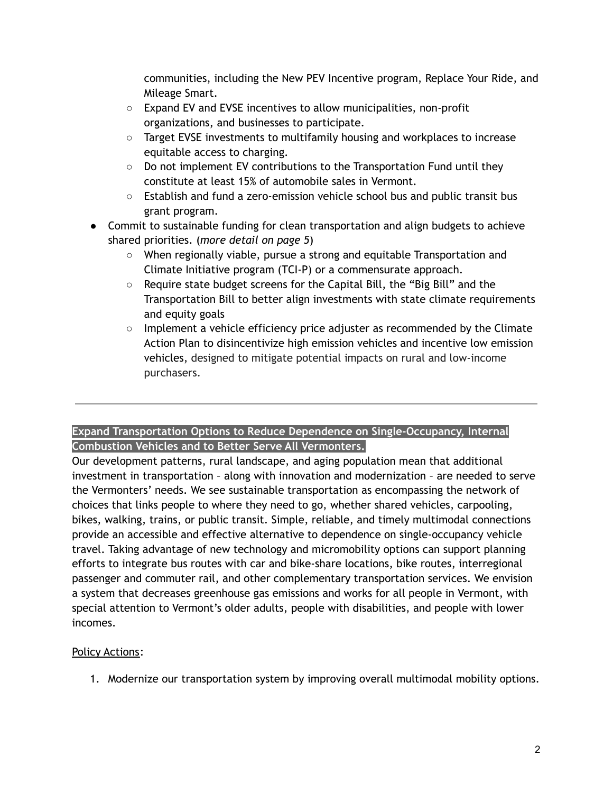communities, including the New PEV Incentive program, Replace Your Ride, and Mileage Smart.

- Expand EV and EVSE incentives to allow municipalities, non-profit organizations, and businesses to participate.
- Target EVSE investments to multifamily housing and workplaces to increase equitable access to charging.
- $\circ$  Do not implement EV contributions to the Transportation Fund until they constitute at least 15% of automobile sales in Vermont.
- Establish and fund a zero-emission vehicle school bus and public transit bus grant program.
- Commit to sustainable funding for clean transportation and align budgets to achieve shared priorities. (*more detail on page 5*)
	- When regionally viable, pursue a strong and equitable Transportation and Climate Initiative program (TCI-P) or a commensurate approach.
	- Require state budget screens for the Capital Bill, the "Big Bill" and the Transportation Bill to better align investments with state climate requirements and equity goals
	- Implement a vehicle efficiency price adjuster as recommended by the Climate Action Plan to disincentivize high emission vehicles and incentive low emission vehicles, designed to mitigate potential impacts on rural and low-income purchasers.

## **Expand Transportation Options to Reduce Dependence on Single-Occupancy, Internal Combustion Vehicles and to Better Serve All Vermonters.**

Our development patterns, rural landscape, and aging population mean that additional investment in transportation – along with innovation and modernization – are needed to serve the Vermonters' needs. We see sustainable transportation as encompassing the network of choices that links people to where they need to go, whether shared vehicles, carpooling, bikes, walking, trains, or public transit. Simple, reliable, and timely multimodal connections provide an accessible and effective alternative to dependence on single-occupancy vehicle travel. Taking advantage of new technology and micromobility options can support planning efforts to integrate bus routes with car and bike-share locations, bike routes, interregional passenger and commuter rail, and other complementary transportation services. We envision a system that decreases greenhouse gas emissions and works for all people in Vermont, with special attention to Vermont's older adults, people with disabilities, and people with lower incomes.

# Policy Actions:

1. Modernize our transportation system by improving overall multimodal mobility options.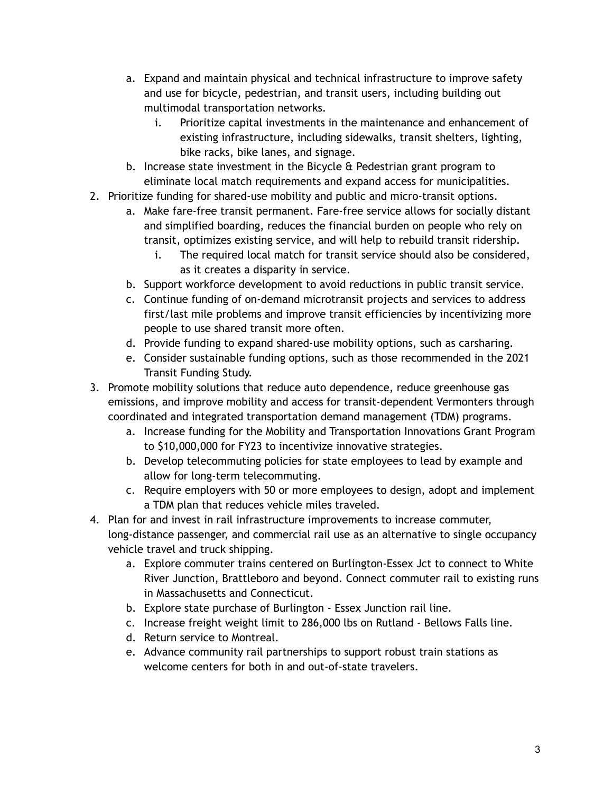- a. Expand and maintain physical and technical infrastructure to improve safety and use for bicycle, pedestrian, and transit users, including building out multimodal transportation networks.
	- i. Prioritize capital investments in the maintenance and enhancement of existing infrastructure, including sidewalks, transit shelters, lighting, bike racks, bike lanes, and signage.
- b. Increase state investment in the Bicycle & Pedestrian grant program to eliminate local match requirements and expand access for municipalities.
- 2. Prioritize funding for shared-use mobility and public and micro-transit options.
	- a. Make fare-free transit permanent. Fare-free service allows for socially distant and simplified boarding, reduces the financial burden on people who rely on transit, optimizes existing service, and will help to rebuild transit ridership.
		- i. The required local match for transit service should also be considered, as it creates a disparity in service.
	- b. Support workforce development to avoid reductions in public transit service.
	- c. Continue funding of on-demand microtransit projects and services to address first/last mile problems and improve transit efficiencies by incentivizing more people to use shared transit more often.
	- d. Provide funding to expand shared-use mobility options, such as carsharing.
	- e. Consider sustainable funding options, such as those recommended in the 2021 Transit Funding Study.
- 3. Promote mobility solutions that reduce auto dependence, reduce greenhouse gas emissions, and improve mobility and access for transit-dependent Vermonters through coordinated and integrated transportation demand management (TDM) programs.
	- a. Increase funding for the Mobility and Transportation Innovations Grant Program to \$10,000,000 for FY23 to incentivize innovative strategies.
	- b. Develop telecommuting policies for state employees to lead by example and allow for long-term telecommuting.
	- c. Require employers with 50 or more employees to design, adopt and implement a TDM plan that reduces vehicle miles traveled.
- 4. Plan for and invest in rail infrastructure improvements to increase commuter, long-distance passenger, and commercial rail use as an alternative to single occupancy vehicle travel and truck shipping.
	- a. Explore commuter trains centered on Burlington-Essex Jct to connect to White River Junction, Brattleboro and beyond. Connect commuter rail to existing runs in Massachusetts and Connecticut.
	- b. Explore state purchase of Burlington Essex Junction rail line.
	- c. Increase freight weight limit to 286,000 lbs on Rutland Bellows Falls line.
	- d. Return service to Montreal.
	- e. Advance community rail partnerships to support robust train stations as welcome centers for both in and out-of-state travelers.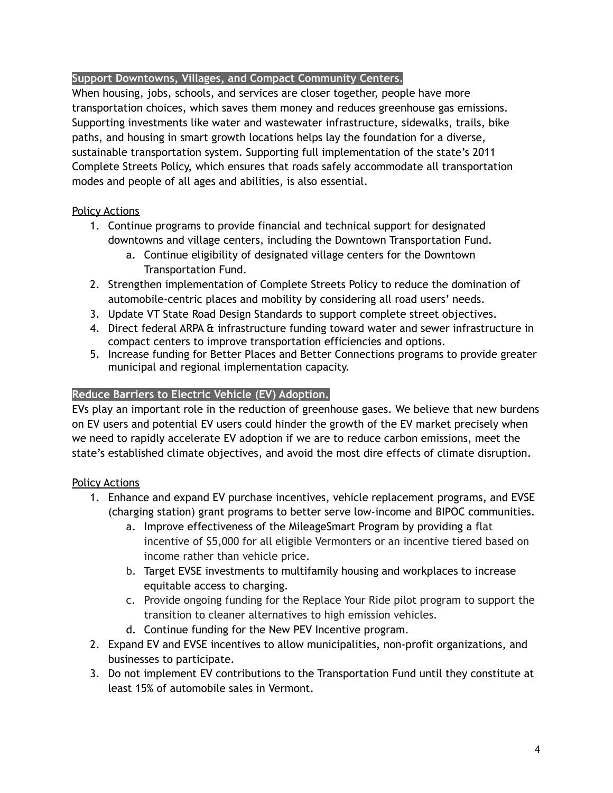## **Support Downtowns, Villages, and Compact Community Centers.**

When housing, jobs, schools, and services are closer together, people have more transportation choices, which saves them money and reduces greenhouse gas emissions. Supporting investments like water and wastewater infrastructure, sidewalks, trails, bike paths, and housing in smart growth locations helps lay the foundation for a diverse, sustainable transportation system. Supporting full implementation of the state's 2011 Complete Streets Policy, which ensures that roads safely accommodate all transportation modes and people of all ages and abilities, is also essential.

## Policy Actions

- 1. Continue programs to provide financial and technical support for designated downtowns and village centers, including the Downtown Transportation Fund.
	- a. Continue eligibility of designated village centers for the Downtown Transportation Fund.
- 2. Strengthen implementation of Complete Streets Policy to reduce the domination of automobile-centric places and mobility by considering all road users' needs.
- 3. Update VT State Road Design Standards to support complete street objectives.
- 4. Direct federal ARPA & infrastructure funding toward water and sewer infrastructure in compact centers to improve transportation efficiencies and options.
- 5. Increase funding for Better Places and Better Connections programs to provide greater municipal and regional implementation capacity.

## **Reduce Barriers to Electric Vehicle (EV) Adoption.**

EVs play an important role in the reduction of greenhouse gases. We believe that new burdens on EV users and potential EV users could hinder the growth of the EV market precisely when we need to rapidly accelerate EV adoption if we are to reduce carbon emissions, meet the state's established climate objectives, and avoid the most dire effects of climate disruption.

#### Policy Actions

- 1. Enhance and expand EV purchase incentives, vehicle replacement programs, and EVSE (charging station) grant programs to better serve low-income and BIPOC communities.
	- a. Improve effectiveness of the MileageSmart Program by providing a flat incentive of \$5,000 for all eligible Vermonters or an incentive tiered based on income rather than vehicle price.
	- b. Target EVSE investments to multifamily housing and workplaces to increase equitable access to charging.
	- c. Provide ongoing funding for the Replace Your Ride pilot program to support the transition to cleaner alternatives to high emission vehicles.
	- d. Continue funding for the New PEV Incentive program.
- 2. Expand EV and EVSE incentives to allow municipalities, non-profit organizations, and businesses to participate.
- 3. Do not implement EV contributions to the Transportation Fund until they constitute at least 15% of automobile sales in Vermont.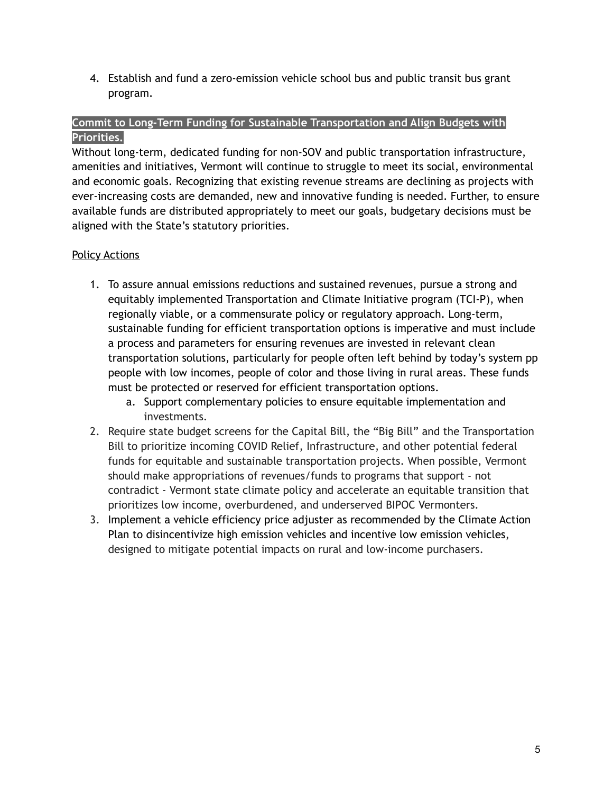4. Establish and fund a zero-emission vehicle school bus and public transit bus grant program.

#### **Commit to Long-Term Funding for Sustainable Transportation and Align Budgets with Priorities.**

Without long-term, dedicated funding for non-SOV and public transportation infrastructure, amenities and initiatives, Vermont will continue to struggle to meet its social, environmental and economic goals. Recognizing that existing revenue streams are declining as projects with ever-increasing costs are demanded, new and innovative funding is needed. Further, to ensure available funds are distributed appropriately to meet our goals, budgetary decisions must be aligned with the State's statutory priorities.

## Policy Actions

- 1. To assure annual emissions reductions and sustained revenues, pursue a strong and equitably implemented Transportation and Climate Initiative program (TCI-P), when regionally viable, or a commensurate policy or regulatory approach. Long-term, sustainable funding for efficient transportation options is imperative and must include a process and parameters for ensuring revenues are invested in relevant clean transportation solutions, particularly for people often left behind by today's system pp people with low incomes, people of color and those living in rural areas. These funds must be protected or reserved for efficient transportation options.
	- a. Support complementary policies to ensure equitable implementation and investments.
- 2. Require state budget screens for the Capital Bill, the "Big Bill" and the Transportation Bill to prioritize incoming COVID Relief, Infrastructure, and other potential federal funds for equitable and sustainable transportation projects. When possible, Vermont should make appropriations of revenues/funds to programs that support - not contradict - Vermont state climate policy and accelerate an equitable transition that prioritizes low income, overburdened, and underserved BIPOC Vermonters.
- 3. Implement a vehicle efficiency price adjuster as recommended by the Climate Action Plan to disincentivize high emission vehicles and incentive low emission vehicles, designed to mitigate potential impacts on rural and low-income purchasers.